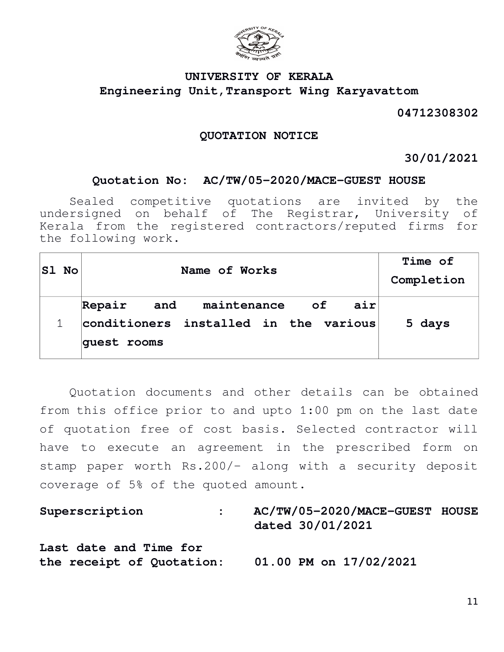

# **UNIVERSITY OF KERALA Engineering Unit,Transport Wing Karyavattom**

## **04712308302**

### **QUOTATION NOTICE**

### **30/01/2021**

### **Quotation No: AC/TW/05-2020/MACE-GUEST HOUSE**

Sealed competitive quotations are invited by the undersigned on behalf of The Registrar, University of Kerala from the registered contractors/reputed firms for the following work.

| $ S1 \tNo $ | Name of Works                                                                               | Time of<br>Completion |
|-------------|---------------------------------------------------------------------------------------------|-----------------------|
|             | and maintenance of<br>air<br>Repair<br>conditioners installed in the various<br>quest rooms | 5 days                |

Quotation documents and other details can be obtained from this office prior to and upto 1:00 pm on the last date of quotation free of cost basis. Selected contractor will have to execute an agreement in the prescribed form on stamp paper worth Rs.200/- along with a security deposit coverage of 5% of the quoted amount.

| Superscription                                      | AC/TW/05-2020/MACE-GUEST HOUSE<br>dated 30/01/2021 |  |
|-----------------------------------------------------|----------------------------------------------------|--|
| Last date and Time for<br>the receipt of Quotation: | $01.00$ PM on $17/02/2021$                         |  |